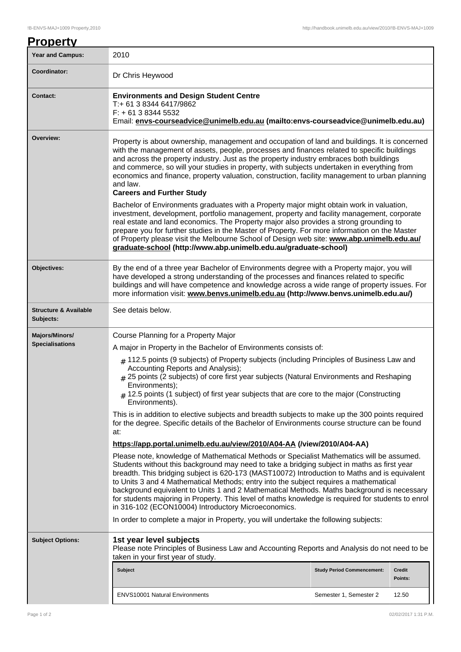| <b>Property</b>                               |                                                                                                                                                                                                                                                                                                                                                                                                                                                                                                                                                                                                                                               |                                   |                   |  |  |
|-----------------------------------------------|-----------------------------------------------------------------------------------------------------------------------------------------------------------------------------------------------------------------------------------------------------------------------------------------------------------------------------------------------------------------------------------------------------------------------------------------------------------------------------------------------------------------------------------------------------------------------------------------------------------------------------------------------|-----------------------------------|-------------------|--|--|
| <b>Year and Campus:</b>                       | 2010                                                                                                                                                                                                                                                                                                                                                                                                                                                                                                                                                                                                                                          |                                   |                   |  |  |
| Coordinator:                                  | Dr Chris Heywood                                                                                                                                                                                                                                                                                                                                                                                                                                                                                                                                                                                                                              |                                   |                   |  |  |
| <b>Contact:</b>                               | <b>Environments and Design Student Centre</b><br>T:+ 61 3 8344 6417/9862<br>$F: +61383445532$<br>Email: envs-courseadvice@unimelb.edu.au (mailto:envs-courseadvice@unimelb.edu.au)                                                                                                                                                                                                                                                                                                                                                                                                                                                            |                                   |                   |  |  |
| Overview:                                     | Property is about ownership, management and occupation of land and buildings. It is concerned<br>with the management of assets, people, processes and finances related to specific buildings<br>and across the property industry. Just as the property industry embraces both buildings<br>and commerce, so will your studies in property, with subjects undertaken in everything from<br>economics and finance, property valuation, construction, facility management to urban planning<br>and law.<br><b>Careers and Further Study</b>                                                                                                      |                                   |                   |  |  |
|                                               | Bachelor of Environments graduates with a Property major might obtain work in valuation,<br>investment, development, portfolio management, property and facility management, corporate<br>real estate and land economics. The Property major also provides a strong grounding to<br>prepare you for further studies in the Master of Property. For more information on the Master<br>of Property please visit the Melbourne School of Design web site: www.abp.unimelb.edu.au/<br>graduate-school (http://www.abp.unimelb.edu.au/graduate-school)                                                                                             |                                   |                   |  |  |
| Objectives:                                   | By the end of a three year Bachelor of Environments degree with a Property major, you will<br>have developed a strong understanding of the processes and finances related to specific<br>buildings and will have competence and knowledge across a wide range of property issues. For<br>more information visit: www.benvs.unimelb.edu.au (http://www.benvs.unimelb.edu.au/)                                                                                                                                                                                                                                                                  |                                   |                   |  |  |
| <b>Structure &amp; Available</b><br>Subjects: | See detais below.                                                                                                                                                                                                                                                                                                                                                                                                                                                                                                                                                                                                                             |                                   |                   |  |  |
| <b>Majors/Minors/</b>                         | Course Planning for a Property Major                                                                                                                                                                                                                                                                                                                                                                                                                                                                                                                                                                                                          |                                   |                   |  |  |
| <b>Specialisations</b>                        | A major in Property in the Bachelor of Environments consists of:                                                                                                                                                                                                                                                                                                                                                                                                                                                                                                                                                                              |                                   |                   |  |  |
|                                               | $#$ 112.5 points (9 subjects) of Property subjects (including Principles of Business Law and<br>Accounting Reports and Analysis);<br># 25 points (2 subjects) of core first year subjects (Natural Environments and Reshaping<br>Environments);<br>$\#$ 12.5 points (1 subject) of first year subjects that are core to the major (Constructing<br>Environments).                                                                                                                                                                                                                                                                             |                                   |                   |  |  |
|                                               | This is in addition to elective subjects and breadth subjects to make up the 300 points required<br>for the degree. Specific details of the Bachelor of Environments course structure can be found<br>at:                                                                                                                                                                                                                                                                                                                                                                                                                                     |                                   |                   |  |  |
|                                               | https://app.portal.unimelb.edu.au/view/2010/A04-AA (/view/2010/A04-AA)                                                                                                                                                                                                                                                                                                                                                                                                                                                                                                                                                                        |                                   |                   |  |  |
|                                               | Please note, knowledge of Mathematical Methods or Specialist Mathematics will be assumed.<br>Students without this background may need to take a bridging subject in maths as first year<br>breadth. This bridging subject is 620-173 (MAST10072) Introduction to Maths and is equivalent<br>to Units 3 and 4 Mathematical Methods; entry into the subject requires a mathematical<br>background equivalent to Units 1 and 2 Mathematical Methods. Maths background is necessary<br>for students majoring in Property. This level of maths knowledge is required for students to enrol<br>in 316-102 (ECON10004) Introductory Microeconomics. |                                   |                   |  |  |
|                                               | In order to complete a major in Property, you will undertake the following subjects:                                                                                                                                                                                                                                                                                                                                                                                                                                                                                                                                                          |                                   |                   |  |  |
| <b>Subject Options:</b>                       | 1st year level subjects<br>Please note Principles of Business Law and Accounting Reports and Analysis do not need to be<br>taken in your first year of study.                                                                                                                                                                                                                                                                                                                                                                                                                                                                                 |                                   |                   |  |  |
|                                               | Subject                                                                                                                                                                                                                                                                                                                                                                                                                                                                                                                                                                                                                                       | <b>Study Period Commencement:</b> | Credit<br>Points: |  |  |
|                                               | <b>ENVS10001 Natural Environments</b>                                                                                                                                                                                                                                                                                                                                                                                                                                                                                                                                                                                                         | Semester 1, Semester 2            | 12.50             |  |  |